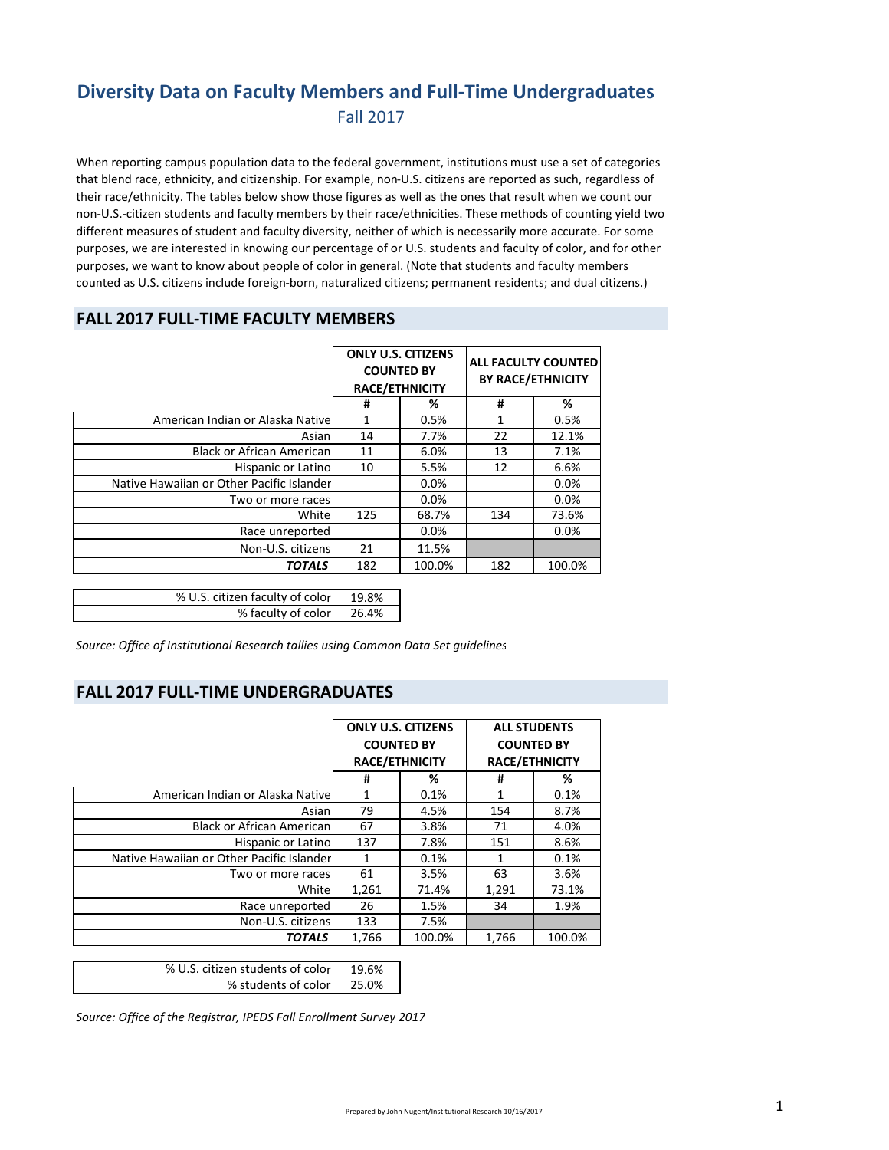## **Diversity Data on Faculty Members and Full‐Time Undergraduates** Fall 2017

When reporting campus population data to the federal government, institutions must use a set of categories that blend race, ethnicity, and citizenship. For example, non‐U.S. citizens are reported as such, regardless of their race/ethnicity. The tables below show those figures as well as the ones that result when we count our non‐U.S.‐citizen students and faculty members by their race/ethnicities. These methods of counting yield two different measures of student and faculty diversity, neither of which is necessarily more accurate. For some purposes, we are interested in knowing our percentage of or U.S. students and faculty of color, and for other purposes, we want to know about people of color in general. (Note that students and faculty members counted as U.S. citizens include foreign‐born, naturalized citizens; permanent residents; and dual citizens.)

#### **FALL 2017 FULL‐TIME FACULTY MEMBERS**

|                                           | <b>ONLY U.S. CITIZENS</b><br><b>COUNTED BY</b><br><b>RACE/ETHNICITY</b> |        | <b>ALL FACULTY COUNTED</b><br><b>BY RACE/ETHNICITY</b> |        |
|-------------------------------------------|-------------------------------------------------------------------------|--------|--------------------------------------------------------|--------|
|                                           | #                                                                       | %      | #                                                      | %      |
| American Indian or Alaska Nativel         |                                                                         | 0.5%   | 1                                                      | 0.5%   |
| Asian                                     | 14                                                                      | 7.7%   | 22                                                     | 12.1%  |
| <b>Black or African American</b>          | 11                                                                      | 6.0%   | 13                                                     | 7.1%   |
| Hispanic or Latino                        | 10                                                                      | 5.5%   | 12                                                     | 6.6%   |
| Native Hawaiian or Other Pacific Islander |                                                                         | 0.0%   |                                                        | 0.0%   |
| Two or more races                         |                                                                         | 0.0%   |                                                        | 0.0%   |
| White                                     | 125                                                                     | 68.7%  | 134                                                    | 73.6%  |
| Race unreported                           |                                                                         | 0.0%   |                                                        | 0.0%   |
| Non-U.S. citizens                         | 21                                                                      | 11.5%  |                                                        |        |
| <b>TOTALS</b>                             | 182                                                                     | 100.0% | 182                                                    | 100.0% |
|                                           |                                                                         |        |                                                        |        |

| % U.S. citizen faculty of color | 19.8% |
|---------------------------------|-------|
| % faculty of color 26.4%        |       |
|                                 |       |

*Source: Office of Institutional Research tallies using Common Data Set guidelines*

#### **FALL 2017 FULL‐TIME UNDERGRADUATES**

|                                           | <b>ONLY U.S. CITIZENS</b><br><b>COUNTED BY</b><br><b>RACE/ETHNICITY</b> |        | <b>ALL STUDENTS</b><br><b>COUNTED BY</b><br><b>RACE/ETHNICITY</b> |        |
|-------------------------------------------|-------------------------------------------------------------------------|--------|-------------------------------------------------------------------|--------|
|                                           |                                                                         |        |                                                                   |        |
|                                           |                                                                         |        |                                                                   |        |
|                                           | #                                                                       | %      | Ħ                                                                 | %      |
| American Indian or Alaska Nativel         | 1                                                                       | 0.1%   | 1                                                                 | 0.1%   |
| Asian                                     | 79                                                                      | 4.5%   | 154                                                               | 8.7%   |
| <b>Black or African American</b>          | 67                                                                      | 3.8%   | 71                                                                | 4.0%   |
| Hispanic or Latino                        | 137                                                                     | 7.8%   | 151                                                               | 8.6%   |
| Native Hawaiian or Other Pacific Islander | 1                                                                       | 0.1%   |                                                                   | 0.1%   |
| Two or more races                         | 61                                                                      | 3.5%   | 63                                                                | 3.6%   |
| White                                     | 1,261                                                                   | 71.4%  | 1,291                                                             | 73.1%  |
| Race unreported                           | 26                                                                      | 1.5%   | 34                                                                | 1.9%   |
| Non-U.S. citizens                         | 133                                                                     | 7.5%   |                                                                   |        |
| <b>TOTALS</b>                             | 1,766                                                                   | 100.0% | 1,766                                                             | 100.0% |

| % U.S. citizen students of color | 19.6% |
|----------------------------------|-------|
| % students of color              | 25.0% |

*Source: Office of the Registrar, IPEDS Fall Enrollment Survey 2017*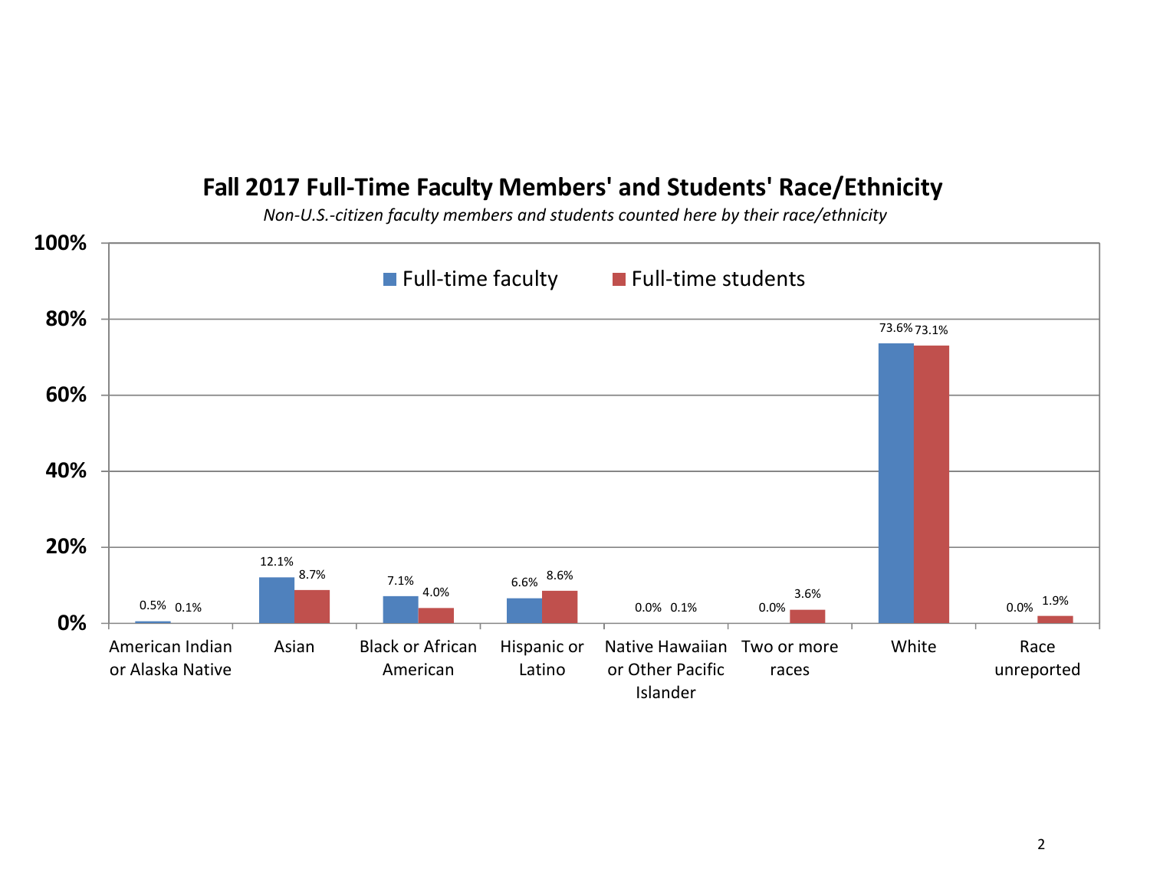# **Fall 2017 Full‐Time Faculty Members' and Students' Race/Ethnicity**

*Non-U.S.-citizen faculty members and students counted here by their race/ethnicity*

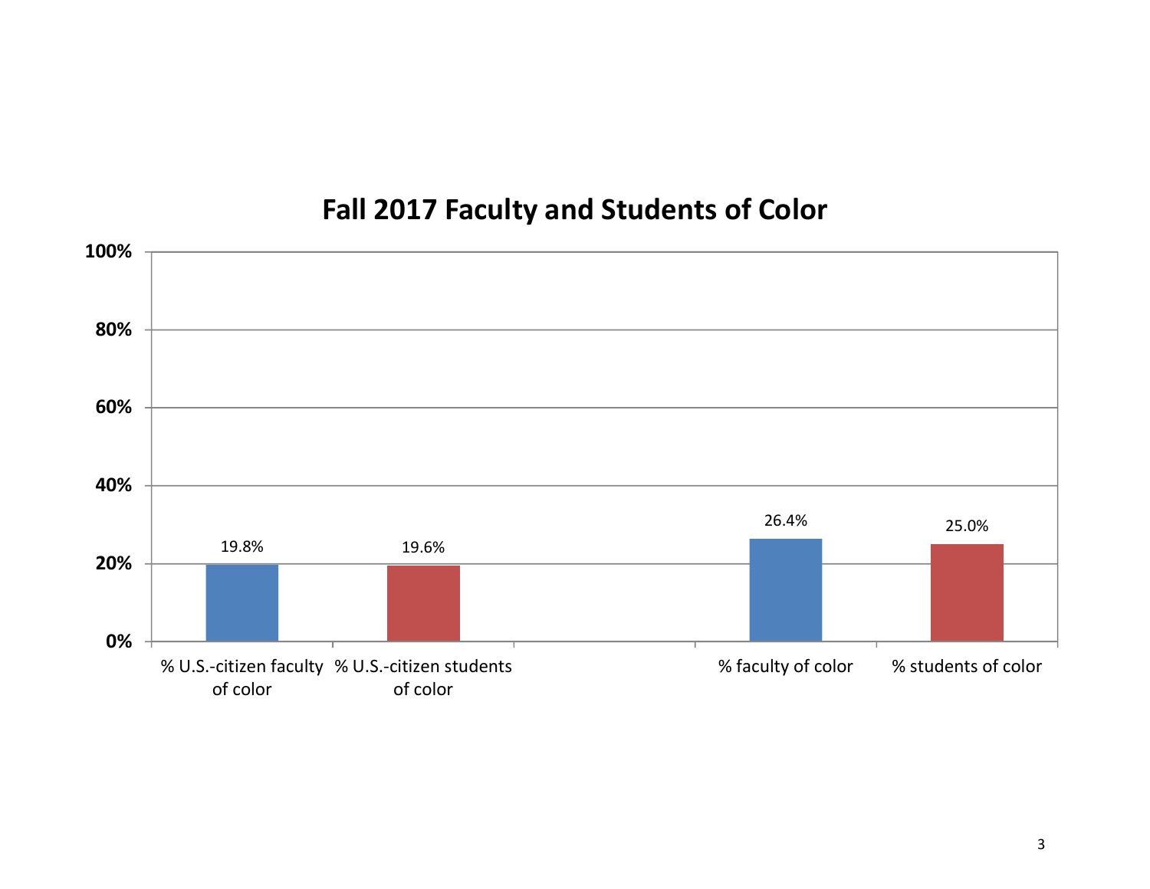# **Fall 2017 Faculty and Students of Color**

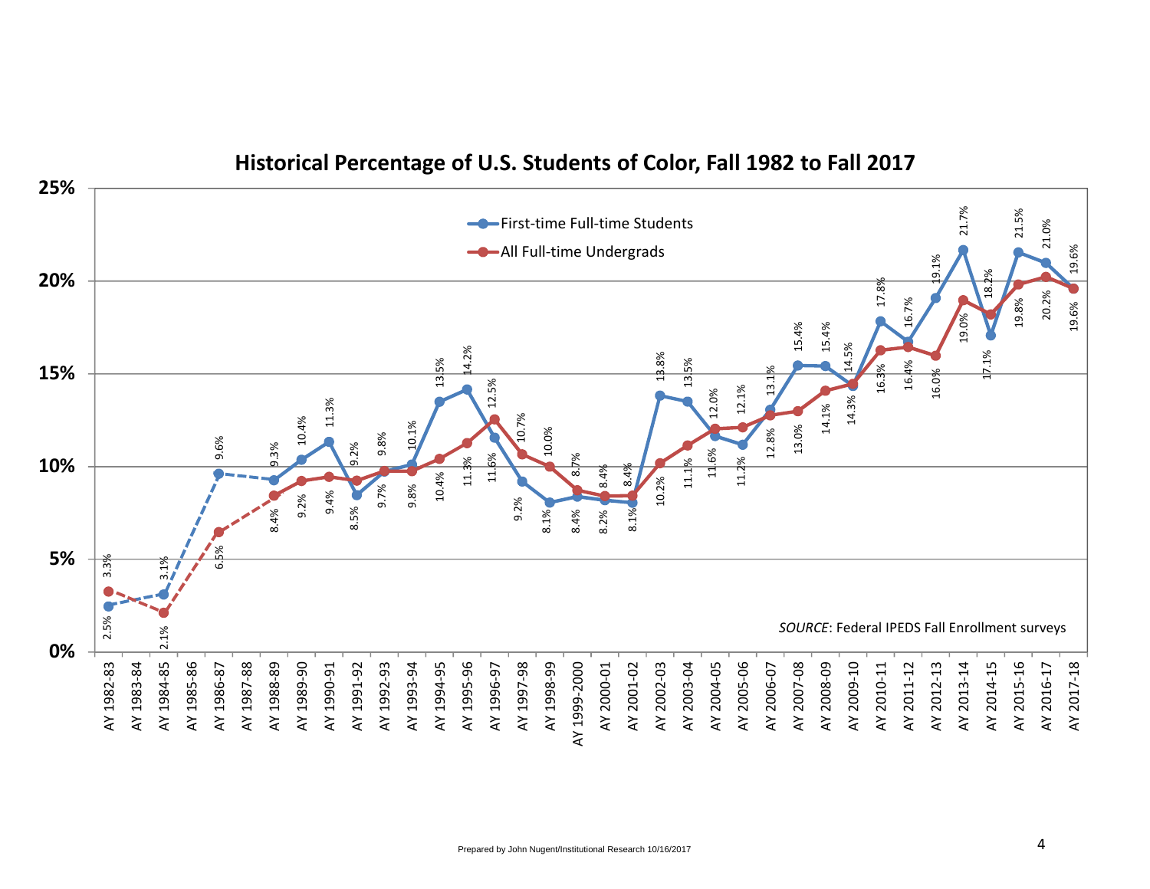

## **Historical Percentage of U.S. Students of Color, Fall 1982 to Fall 2017**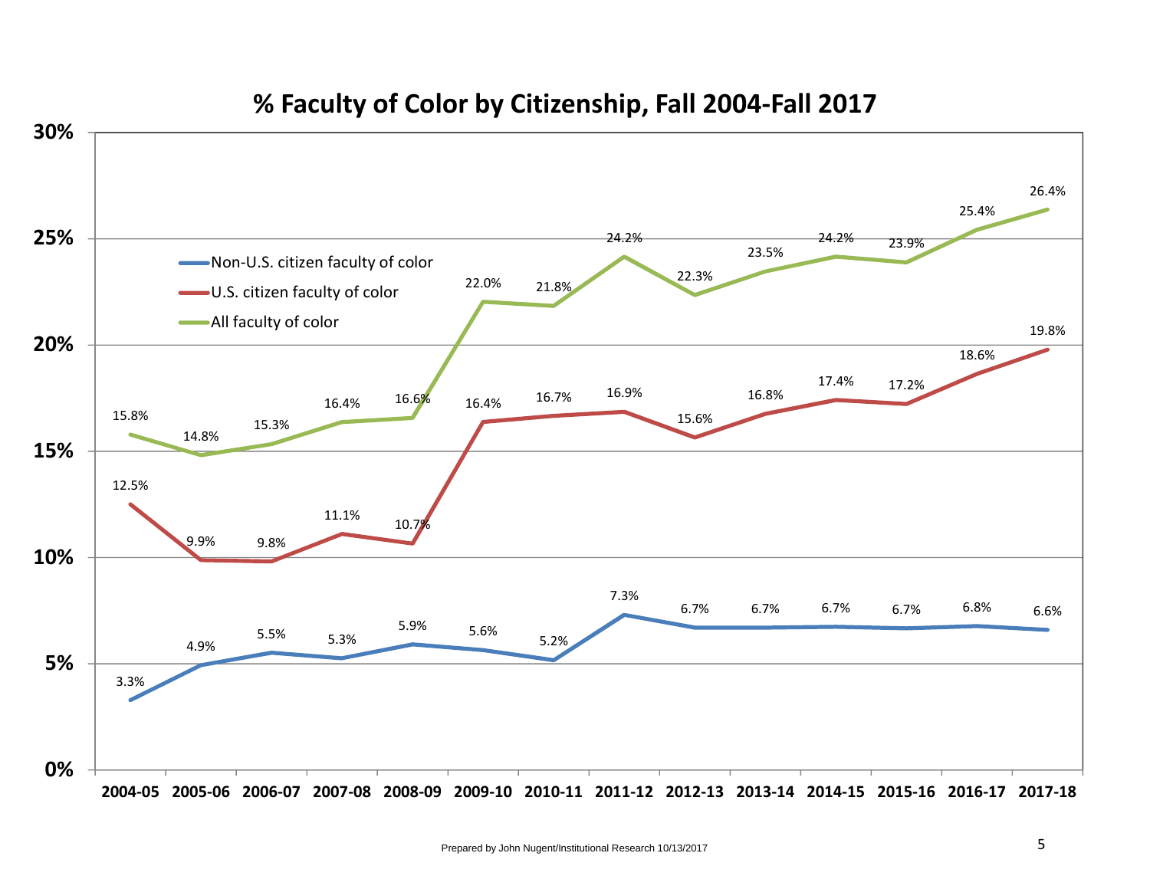

# **% Faculty of Color by Citizenship, Fall 2004‐Fall 2017**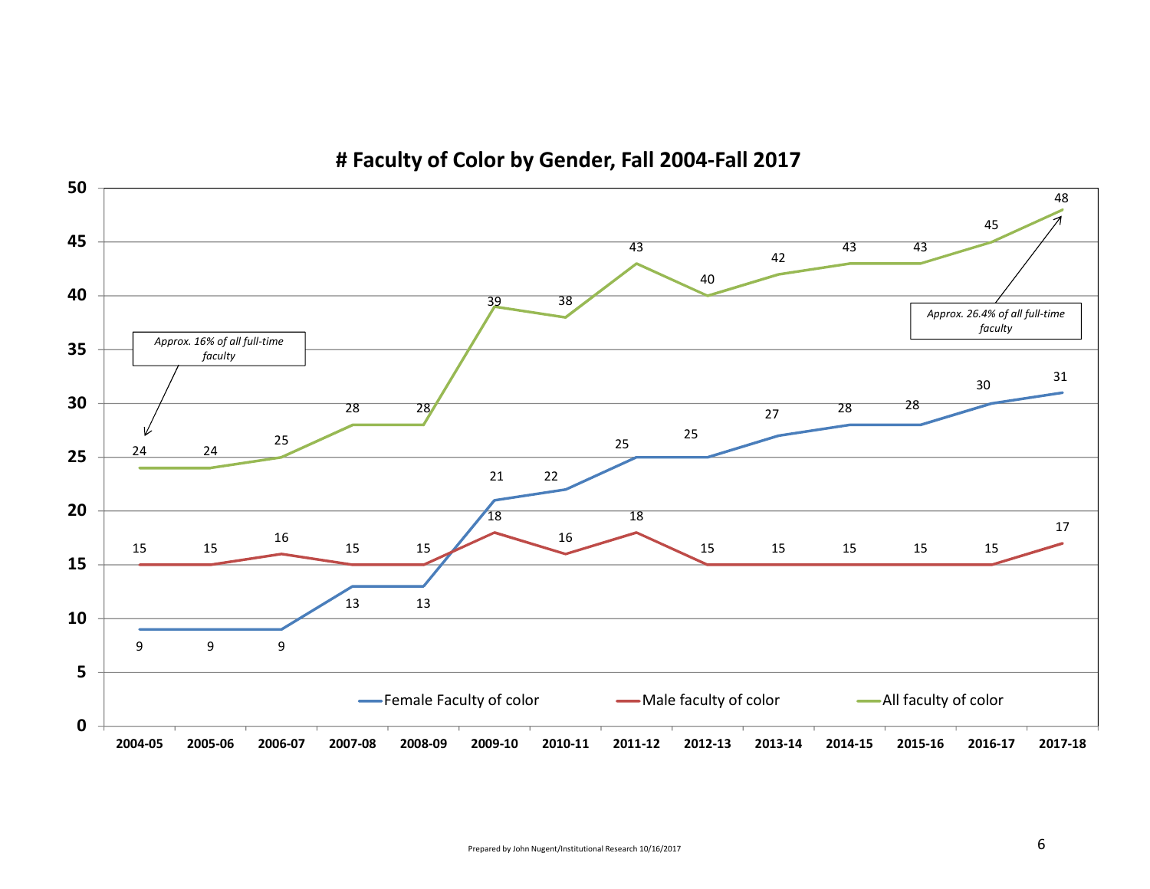

**# Faculty of Color by Gender, Fall 2004‐Fall 2017**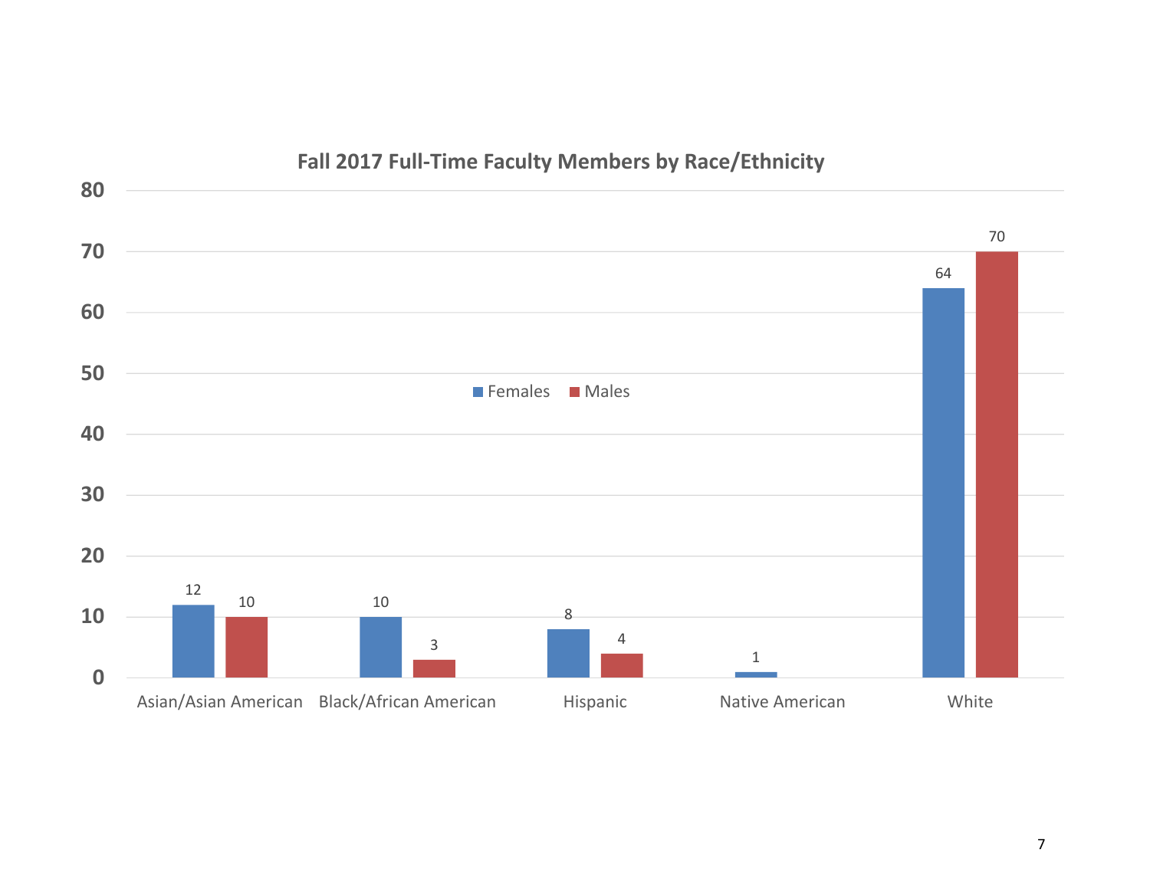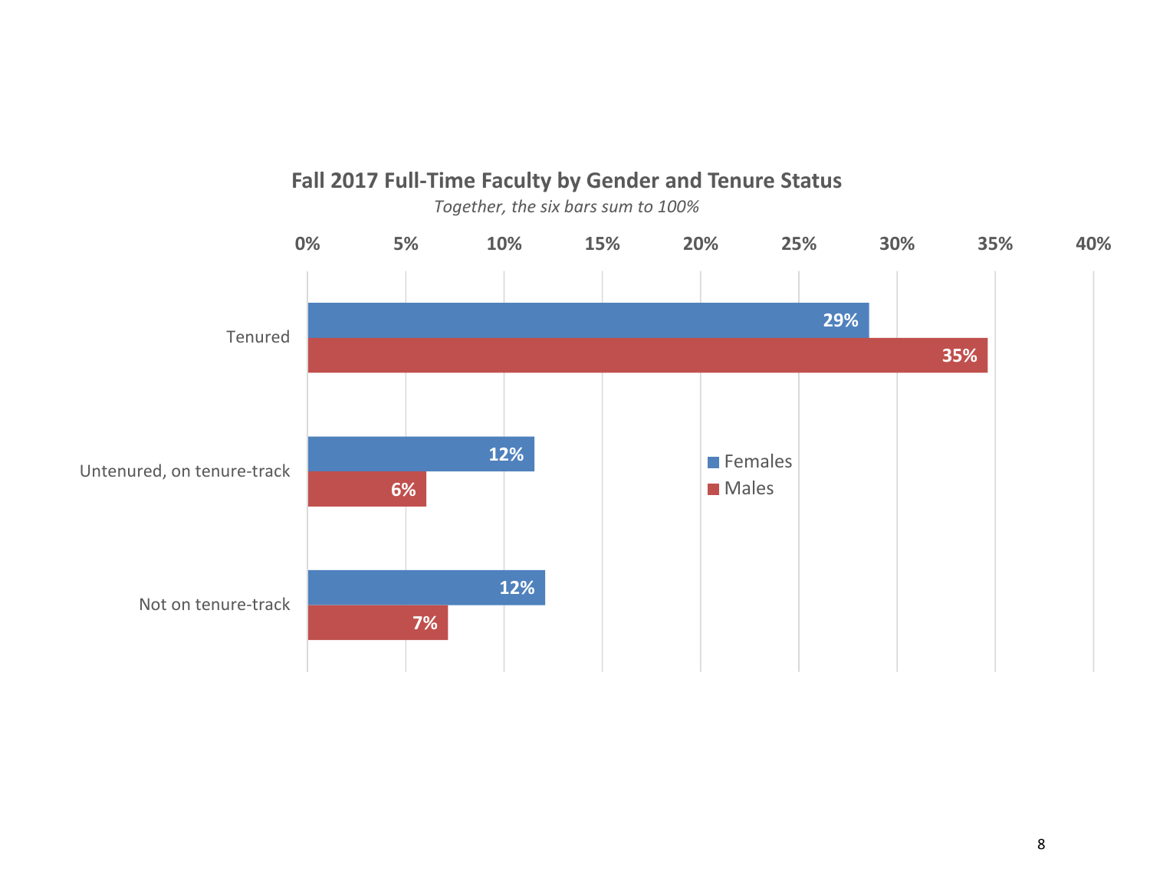

## **Fall 2017 Full‐Time Faculty by Gender and Tenure Status**

*Together, the six bars sum to 100%*